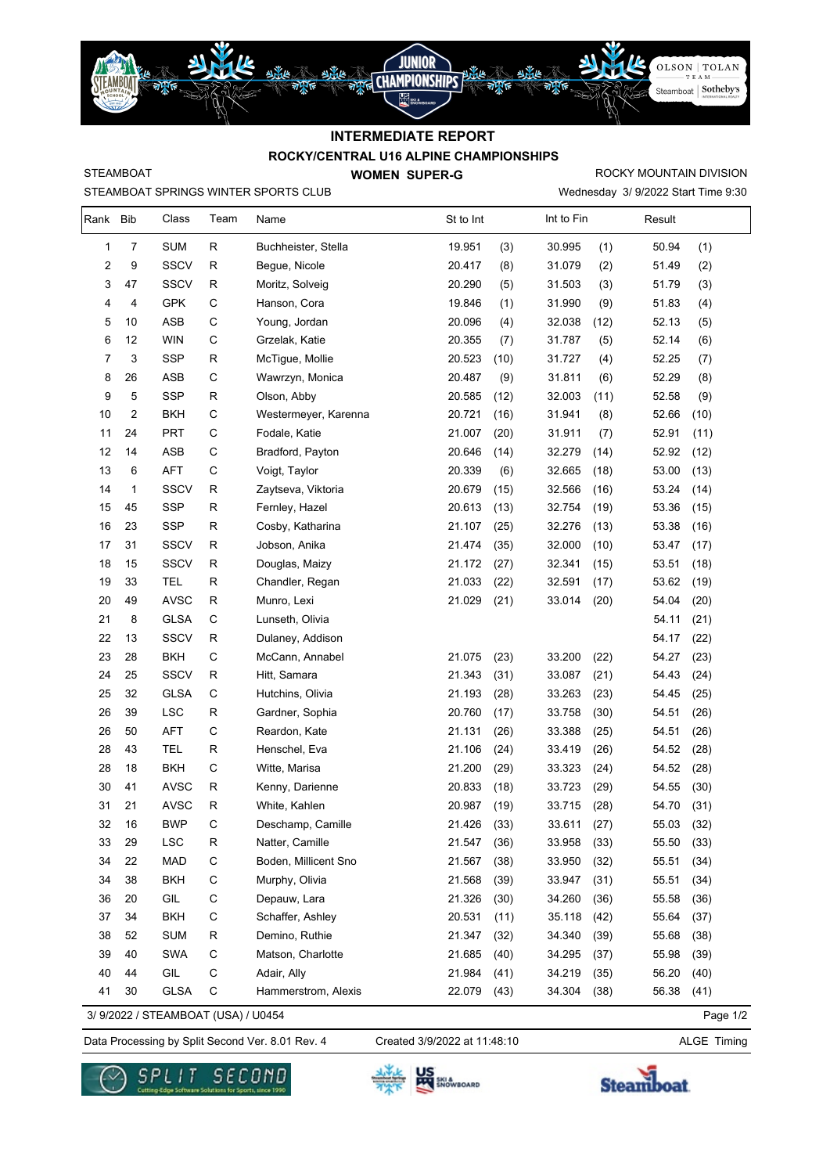

## **ROCKY/CENTRAL U16 ALPINE CHAMPIONSHIPS INTERMEDIATE REPORT**

STEAMBOAT

STEAMBOAT SPRINGS WINTER SPORTS CLUB

**WOMEN SUPER-G** 

Wednesday 3/ 9/2022 Start Time 9:30 ROCKY MOUNTAIN DIVISION

| Rank Bib |            | Class       | Team        | Name                 | St to Int |      | Int to Fin |      | Result |      |
|----------|------------|-------------|-------------|----------------------|-----------|------|------------|------|--------|------|
| 1        | 7          | <b>SUM</b>  | R           | Buchheister, Stella  | 19.951    | (3)  | 30.995     | (1)  | 50.94  | (1)  |
| 2        | 9          | <b>SSCV</b> | R           | Begue, Nicole        | 20.417    | (8)  | 31.079     | (2)  | 51.49  | (2)  |
| 3        | 47         | <b>SSCV</b> | R           | Moritz, Solveig      | 20.290    | (5)  | 31.503     | (3)  | 51.79  | (3)  |
| 4        | 4          | <b>GPK</b>  | C           | Hanson, Cora         | 19.846    | (1)  | 31.990     | (9)  | 51.83  | (4)  |
| 5        | 10         | ASB         | C           | Young, Jordan        | 20.096    | (4)  | 32.038     | (12) | 52.13  | (5)  |
| 6        | 12         | <b>WIN</b>  | C           | Grzelak, Katie       | 20.355    | (7)  | 31.787     | (5)  | 52.14  | (6)  |
| 7        | 3          | <b>SSP</b>  | R           | McTigue, Mollie      | 20.523    | (10) | 31.727     | (4)  | 52.25  | (7)  |
| 8        | 26         | ASB         | C           | Wawrzyn, Monica      | 20.487    | (9)  | 31.811     | (6)  | 52.29  | (8)  |
| 9        | 5          | <b>SSP</b>  | R           | Olson, Abby          | 20.585    | (12) | 32.003     | (11) | 52.58  | (9)  |
| 10       | $\sqrt{2}$ | <b>BKH</b>  | C           | Westermeyer, Karenna | 20.721    | (16) | 31.941     | (8)  | 52.66  | (10) |
| 11       | 24         | <b>PRT</b>  | C           | Fodale, Katie        | 21.007    | (20) | 31.911     | (7)  | 52.91  | (11) |
| 12       | 14         | ASB         | C           | Bradford, Payton     | 20.646    | (14) | 32.279     | (14) | 52.92  | (12) |
| 13       | 6          | <b>AFT</b>  | $\mathsf C$ | Voigt, Taylor        | 20.339    | (6)  | 32.665     | (18) | 53.00  | (13) |
| 14       | 1          | <b>SSCV</b> | R           | Zaytseva, Viktoria   | 20.679    | (15) | 32.566     | (16) | 53.24  | (14) |
| 15       | 45         | <b>SSP</b>  | R           | Fernley, Hazel       | 20.613    | (13) | 32.754     | (19) | 53.36  | (15) |
| 16       | 23         | <b>SSP</b>  | R           | Cosby, Katharina     | 21.107    | (25) | 32.276     | (13) | 53.38  | (16) |
| 17       | 31         | <b>SSCV</b> | R           | Jobson, Anika        | 21.474    | (35) | 32.000     | (10) | 53.47  | (17) |
| 18       | 15         | <b>SSCV</b> | R           | Douglas, Maizy       | 21.172    | (27) | 32.341     | (15) | 53.51  | (18) |
| 19       | 33         | <b>TEL</b>  | R           | Chandler, Regan      | 21.033    | (22) | 32.591     | (17) | 53.62  | (19) |
| 20       | 49         | <b>AVSC</b> | R           | Munro, Lexi          | 21.029    | (21) | 33.014     | (20) | 54.04  | (20) |
| 21       | 8          | <b>GLSA</b> | C           | Lunseth, Olivia      |           |      |            |      | 54.11  | (21) |
| 22       | 13         | <b>SSCV</b> | R           | Dulaney, Addison     |           |      |            |      | 54.17  | (22) |
| 23       | 28         | <b>BKH</b>  | C           | McCann, Annabel      | 21.075    | (23) | 33.200     | (22) | 54.27  | (23) |
| 24       | 25         | <b>SSCV</b> | R           | Hitt, Samara         | 21.343    | (31) | 33.087     | (21) | 54.43  | (24) |
| 25       | 32         | <b>GLSA</b> | C           | Hutchins, Olivia     | 21.193    | (28) | 33.263     | (23) | 54.45  | (25) |
| 26       | 39         | <b>LSC</b>  | R           | Gardner, Sophia      | 20.760    | (17) | 33.758     | (30) | 54.51  | (26) |
| 26       | 50         | AFT         | C           | Reardon, Kate        | 21.131    | (26) | 33.388     | (25) | 54.51  | (26) |
| 28       | 43         | <b>TEL</b>  | R           | Henschel, Eva        | 21.106    | (24) | 33.419     | (26) | 54.52  | (28) |
| 28       | 18         | <b>BKH</b>  | C           | Witte, Marisa        | 21.200    | (29) | 33.323     | (24) | 54.52  | (28) |
| 30       | 41         | <b>AVSC</b> | R           | Kenny, Darienne      | 20.833    | (18) | 33.723     | (29) | 54.55  | (30) |
| 31       | 21         | <b>AVSC</b> | R           | White, Kahlen        | 20.987    | (19) | 33.715     | (28) | 54.70  | (31) |
| 32       | 16         | <b>BWP</b>  | C           | Deschamp, Camille    | 21.426    | (33) | 33.611     | (27) | 55.03  | (32) |
| 33       | 29         | <b>LSC</b>  | ${\sf R}$   | Natter, Camille      | 21.547    | (36) | 33.958     | (33) | 55.50  | (33) |
| 34       | 22         | MAD         | $\mathsf C$ | Boden, Millicent Sno | 21.567    | (38) | 33.950     | (32) | 55.51  | (34) |
| 34       | 38         | <b>BKH</b>  | $\mathsf C$ | Murphy, Olivia       | 21.568    | (39) | 33.947     | (31) | 55.51  | (34) |
| 36       | 20         | GIL         | $\mathsf C$ | Depauw, Lara         | 21.326    | (30) | 34.260     | (36) | 55.58  | (36) |
| 37       | 34         | <b>BKH</b>  | $\mathsf C$ | Schaffer, Ashley     | 20.531    | (11) | 35.118     | (42) | 55.64  | (37) |
| 38       | 52         | <b>SUM</b>  | R           | Demino, Ruthie       | 21.347    | (32) | 34.340     | (39) | 55.68  | (38) |
| 39       | 40         | SWA         | $\mathsf C$ | Matson, Charlotte    | 21.685    | (40) | 34.295     | (37) | 55.98  | (39) |
| 40       | 44         | GIL         | $\mathsf C$ | Adair, Ally          | 21.984    | (41) | 34.219     | (35) | 56.20  | (40) |
| 41       | 30         | <b>GLSA</b> | $\mathsf C$ | Hammerstrom, Alexis  | 22.079    | (43) | 34.304     | (38) | 56.38  | (41) |

3/ 9/2022 / STEAMBOAT (USA) / U0454

Data Processing by Split Second Ver. 8.01 Rev. 4 Created 3/9/2022 at 11:48:10 ALGE Timing

Created 3/9/2022 at 11:48:10

Page 1/2